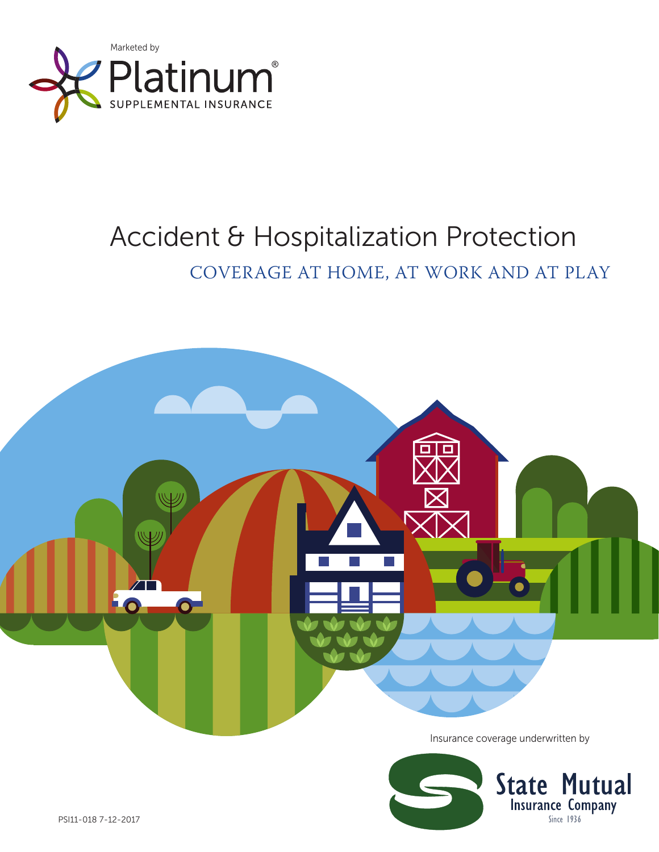

## Accident & Hospitalization Protection

COVERAGE AT HOME, AT WORK AND AT PLAY



Insurance coverage underwritten by

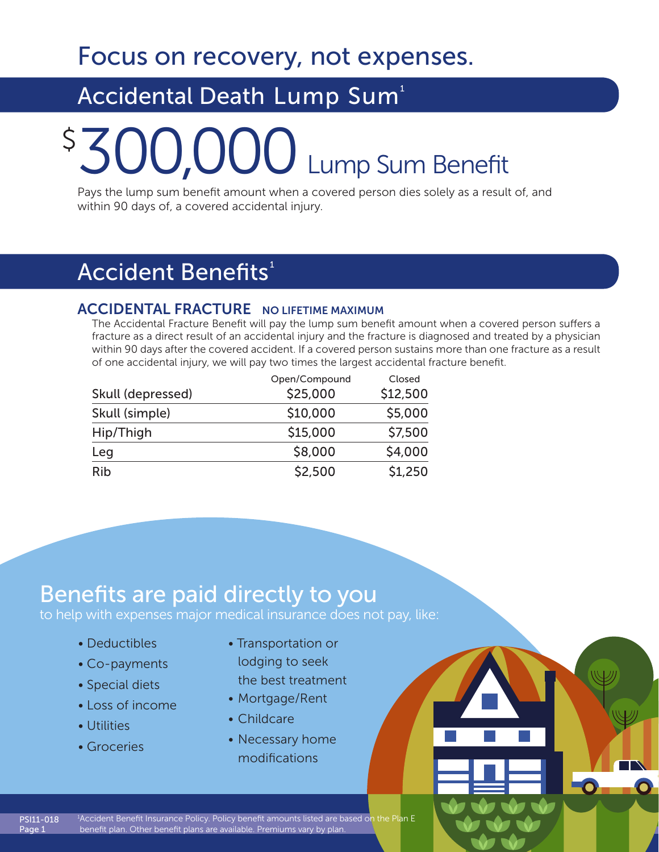Focus on recovery, not expenses.

## Accidental Death Lump Sum<sup>1</sup>

# \$300,000 Lump Sum Benefit

Pays the lump sum benefit amount when a covered person dies solely as a result of, and within 90 days of, a covered accidental injury.

### Accident Benefits<sup>1</sup>

### ACCIDENTAL FRACTURE NO LIFETIME MAXIMUM

The Accidental Fracture Benefit will pay the lump sum benefit amount when a covered person suffers a fracture as a direct result of an accidental injury and the fracture is diagnosed and treated by a physician within 90 days after the covered accident. If a covered person sustains more than one fracture as a result of one accidental injury, we will pay two times the largest accidental fracture benefit.

|                   | Open/Compound | Closed   |
|-------------------|---------------|----------|
| Skull (depressed) | \$25,000      | \$12,500 |
| Skull (simple)    | \$10,000      | \$5,000  |
| Hip/Thigh         | \$15,000      | \$7,500  |
| Leg               | \$8,000       | \$4,000  |
| <b>Rib</b>        | \$2,500       | \$1,250  |

### Benefits are paid directly to you

to help with expenses major medical insurance does not pay, like:

- Deductibles
- Co-payments
- Special diets
- Loss of income
- Utilities

PSI11-018 Page 1

• Groceries

- Transportation or lodging to seek the best treatment
- Mortgage/Rent
- Childcare
- Necessary home modifications

1 Accident Benefit Insurance Policy. Policy benefit amounts listed are based on the Plan E benefit plan. Other benefit plans are available. Premiums vary by plan.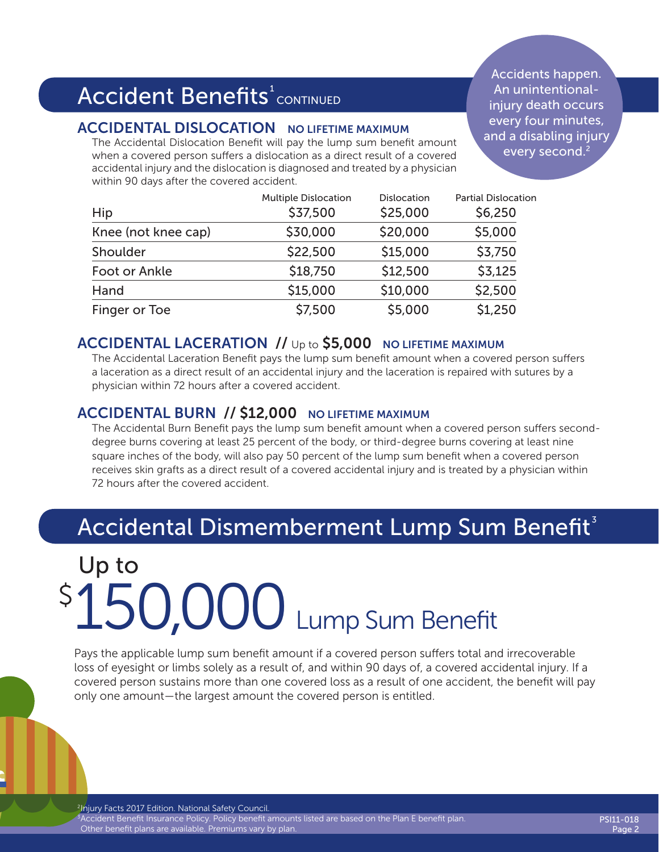## Accident Benefits $^{\rm t}$ continued

### ACCIDENTAL DISLOCATION NO LIFETIME MAXIMUM

The Accidental Dislocation Benefit will pay the lump sum benefit amount when a covered person suffers a dislocation as a direct result of a covered accidental injury and the dislocation is diagnosed and treated by a physician within 90 days after the covered accident.

Accidents happen. An unintentionalinjury death occurs every four minutes, and a disabling injury every second.<sup>2</sup>

| Hip                 | <b>Multiple Dislocation</b><br>\$37,500 | Dislocation<br>\$25,000 | <b>Partial Dislocation</b><br>\$6,250 |
|---------------------|-----------------------------------------|-------------------------|---------------------------------------|
| Knee (not knee cap) | \$30,000                                | \$20,000                | \$5,000                               |
| Shoulder            | \$22,500                                | \$15,000                | \$3,750                               |
| Foot or Ankle       | \$18,750                                | \$12,500                | \$3,125                               |
| Hand                | \$15,000                                | \$10,000                | \$2,500                               |
| Finger or Toe       | \$7,500                                 | \$5,000                 | \$1,250                               |

### ACCIDENTAL LACERATION // Up to \$5,000 NO LIFETIME MAXIMUM

The Accidental Laceration Benefit pays the lump sum benefit amount when a covered person suffers a laceration as a direct result of an accidental injury and the laceration is repaired with sutures by a physician within 72 hours after a covered accident.

### ACCIDENTAL BURN // \$12,000 NO LIFETIME MAXIMUM

The Accidental Burn Benefit pays the lump sum benefit amount when a covered person suffers seconddegree burns covering at least 25 percent of the body, or third-degree burns covering at least nine square inches of the body, will also pay 50 percent of the lump sum benefit when a covered person receives skin grafts as a direct result of a covered accidental injury and is treated by a physician within 72 hours after the covered accident.

## Accidental Dismemberment Lump Sum Benefit $3$

## \$150,000 Lump Sum Benefit Up to

Pays the applicable lump sum benefit amount if a covered person suffers total and irrecoverable loss of eyesight or limbs solely as a result of, and within 90 days of, a covered accidental injury. If a covered person sustains more than one covered loss as a result of one accident, the benefit will pay only one amount—the largest amount the covered person is entitled.

<sup>2</sup>Injury Facts 2017 Edition. National Safety Council. <sup>3</sup> Accident Benefit Insurance Policy. Policy benefit amounts listed are based on the Plan E benefit plan. Other benefit plans are available. Premiums vary by plan.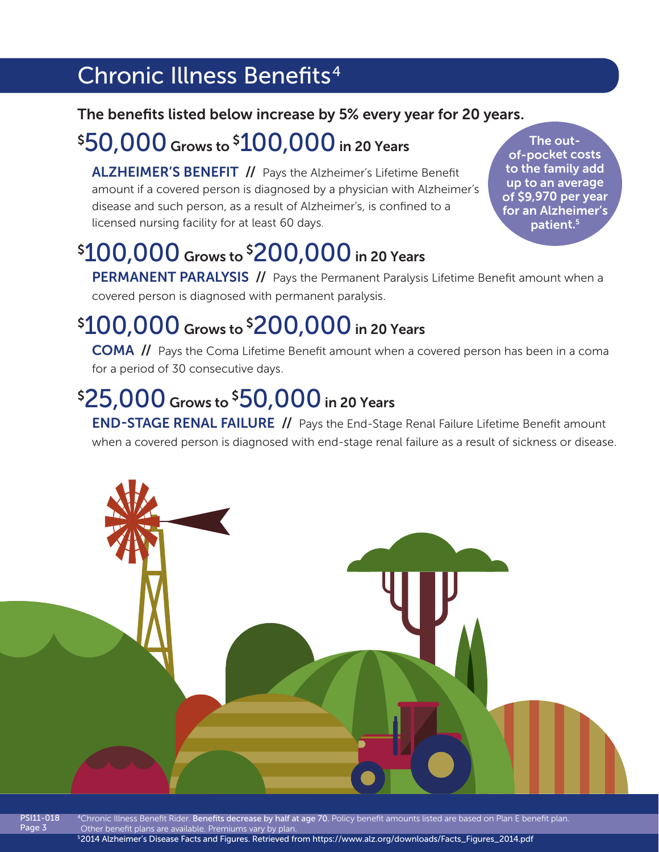## Chronic Illness Benefits<sup>4</sup>

### The benefits listed below increase by 5% every year for 20 years.

## \$ 50,000 Grows to \$ 100,000 in 20 Years

ALZHEIMER'S BENEFIT // Pays the Alzheimer's Lifetime Benefit amount if a covered person is diagnosed by a physician with Alzheimer's disease and such person, as a result of Alzheimer's, is confined to a licensed nursing facility for at least 60 days.

The outof-pocket costs to the family add up to an average of \$9,970 per year for an Alzheimer's patient.<sup>5</sup>

## \$ 100,000 Grows to \$ 200,000 in 20 Years

PERMANENT PARALYSIS // Pays the Permanent Paralysis Lifetime Benefit amount when a covered person is diagnosed with permanent paralysis.

## \$ 100,000 Grows to \$ 200,000 in 20 Years

COMA // Pays the Coma Lifetime Benefit amount when a covered person has been in a coma for a period of 30 consecutive days.

## \$ 25,000 Grows to \$ 50,000 in 20 Years

**END-STAGE RENAL FAILURE //** Pays the End-Stage Renal Failure Lifetime Benefit amount when a covered person is diagnosed with end-stage renal failure as a result of sickness or disease.



PSI11-018 Page 3

<sup>4</sup>Chronic Illness Benefit Rider. Benefits decrease by half at age 70. Policy benefit amounts listed are based on Plan E benefit plan. Other benefit plans are available. Premiums vary by plan. 52014 Alzheimer's Disease Facts and Figures. Retrieved from https://www.alz.org/downloads/Facts\_Figures\_2014.pdf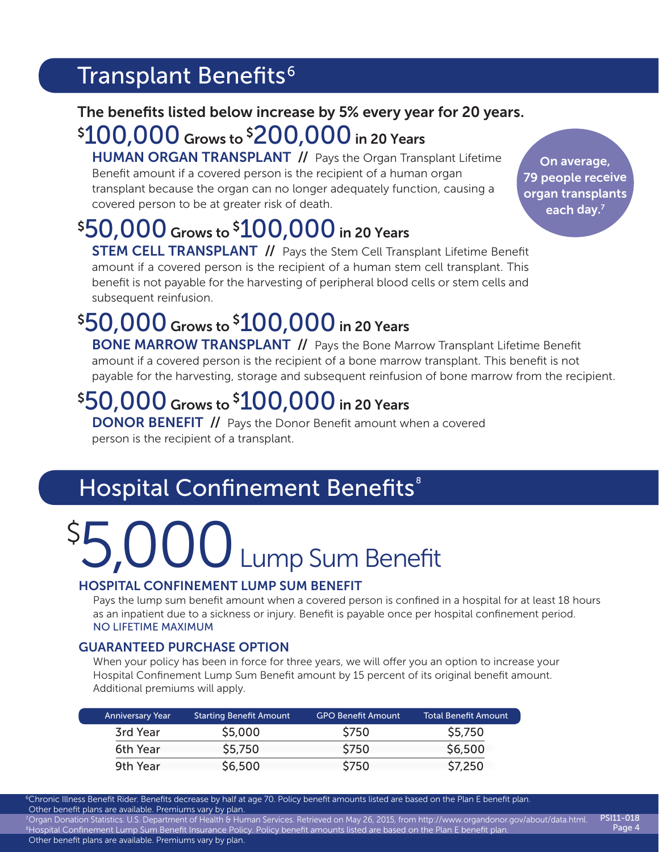### Transplant Benefits<sup>6</sup>

### The benefits listed below increase by 5% every year for 20 years.

### \$ 100,000 Grows to \$ 200,000 in 20 Years

HUMAN ORGAN TRANSPLANT // Pays the Organ Transplant Lifetime Benefit amount if a covered person is the recipient of a human organ transplant because the organ can no longer adequately function, causing a covered person to be at greater risk of death.

## \$ 50,000 Grows to \$ 100,000 in 20 Years

**STEM CELL TRANSPLANT //** Pays the Stem Cell Transplant Lifetime Benefit amount if a covered person is the recipient of a human stem cell transplant. This benefit is not payable for the harvesting of peripheral blood cells or stem cells and subsequent reinfusion.

## \$ 50,000 Grows to \$ 100,000 in 20 Years

**BONE MARROW TRANSPLANT // Pays the Bone Marrow Transplant Lifetime Benefit** amount if a covered person is the recipient of a bone marrow transplant. This benefit is not payable for the harvesting, storage and subsequent reinfusion of bone marrow from the recipient.

## \$ 50,000 Grows to \$ 100,000 in 20 Years

**DONOR BENEFIT //** Pays the Donor Benefit amount when a covered person is the recipient of a transplant.

## Hospital Confinement Benefits<sup>®</sup>

# \$5,000 Lump Sum Benefit

### HOSPITAL CONFINEMENT LUMP SUM BENEFIT

Pays the lump sum benefit amount when a covered person is confined in a hospital for at least 18 hours as an inpatient due to a sickness or injury. Benefit is payable once per hospital confinement period. NO LIFETIME MAXIMUM

### GUARANTEED PURCHASE OPTION

When your policy has been in force for three years, we will offer you an option to increase your Hospital Confinement Lump Sum Benefit amount by 15 percent of its original benefit amount. Additional premiums will apply.

| <b>Anniversary Year</b> | <b>Starting Benefit Amount</b> | <b>GPO Benefit Amount</b> | <b>Total Benefit Amount</b> |
|-------------------------|--------------------------------|---------------------------|-----------------------------|
| 3rd Year                | \$5,000                        | <b>\$750</b>              | \$5,750                     |
| 6th Year                | \$5,750                        | \$750                     | \$6,500                     |
| 9th Year                | \$6,500                        | \$750                     | \$7,250                     |

6Chronic Illness Benefit Rider. Benefits decrease by half at age 70. Policy benefit amounts listed are based on the Plan E benefit plan. Other benefit plans are available. Premiums vary by plan.

7Organ Donation Statistics. U.S. Department of Health & Human Services. Retrieved on May 26, 2015, from http://www.organdonor.gov/about/data.html. 8Hospital Confinement Lump Sum Benefit Insurance Policy. Policy benefit amounts listed are based on the Plan E benefit plan. Other benefit plans are available. Premiums vary by plan. PSI11-018 Page 4

On average, 79 people receive organ transplants each day. $^7$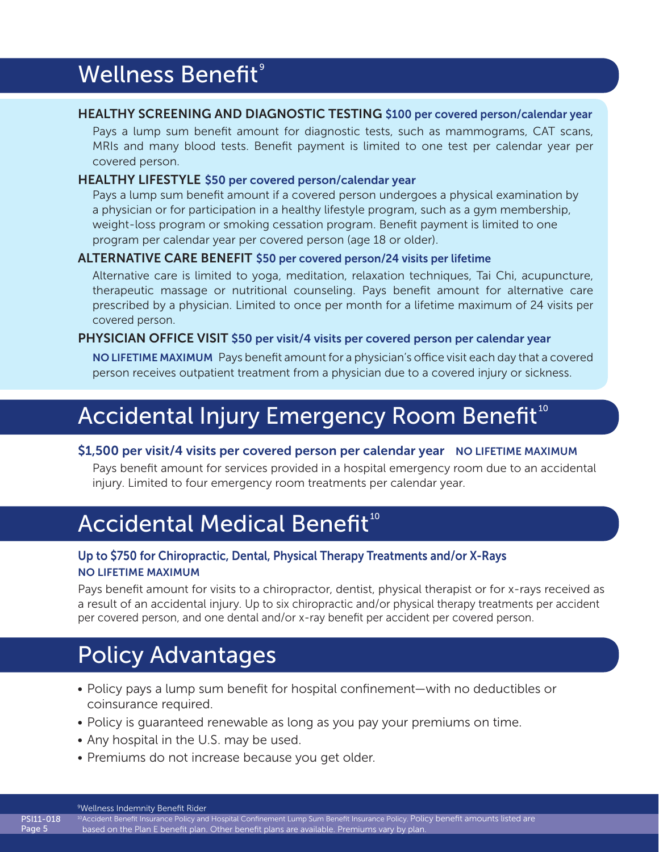### Wellness Benefit<sup>9</sup>

### HEALTHY SCREENING AND DIAGNOSTIC TESTING \$100 per covered person/calendar year

Pays a lump sum benefit amount for diagnostic tests, such as mammograms, CAT scans, MRIs and many blood tests. Benefit payment is limited to one test per calendar year per covered person.

### HEALTHY LIFESTYLE \$50 per covered person/calendar year

Pays a lump sum benefit amount if a covered person undergoes a physical examination by a physician or for participation in a healthy lifestyle program, such as a gym membership, weight-loss program or smoking cessation program. Benefit payment is limited to one program per calendar year per covered person (age 18 or older).

### ALTERNATIVE CARE BENEFIT \$50 per covered person/24 visits per lifetime

Alternative care is limited to yoga, meditation, relaxation techniques, Tai Chi, acupuncture, therapeutic massage or nutritional counseling. Pays benefit amount for alternative care prescribed by a physician. Limited to once per month for a lifetime maximum of 24 visits per covered person.

### PHYSICIAN OFFICE VISIT \$50 per visit/4 visits per covered person per calendar year

NO LIFETIME MAXIMUM Pays benefit amount for a physician's office visit each day that a covered person receives outpatient treatment from a physician due to a covered injury or sickness.

## Accidental Injury Emergency Room Benefit<sup>10</sup>

### \$1,500 per visit/4 visits per covered person per calendar year NO LIFETIME MAXIMUM

Pays benefit amount for services provided in a hospital emergency room due to an accidental injury. Limited to four emergency room treatments per calendar year.

## Accidental Medical Benefit<sup>10</sup>

### Up to \$750 for Chiropractic, Dental, Physical Therapy Treatments and/or X-Rays NO LIFETIME MAXIMUM

Pays benefit amount for visits to a chiropractor, dentist, physical therapist or for x-rays received as a result of an accidental injury. Up to six chiropractic and/or physical therapy treatments per accident per covered person, and one dental and/or x-ray benefit per accident per covered person.

## Policy Advantages

- You're paid regardless of any other insurance you may have, and the cash benefits are • Policy pays a lump sum benefit for hospital confinement—with no deductibles or coinsurance required.
- Policy is guaranteed renewable as long as you pay your premiums on time.
- Any hospital in the U.S. may be used.
- Premiums do not increase because you get older.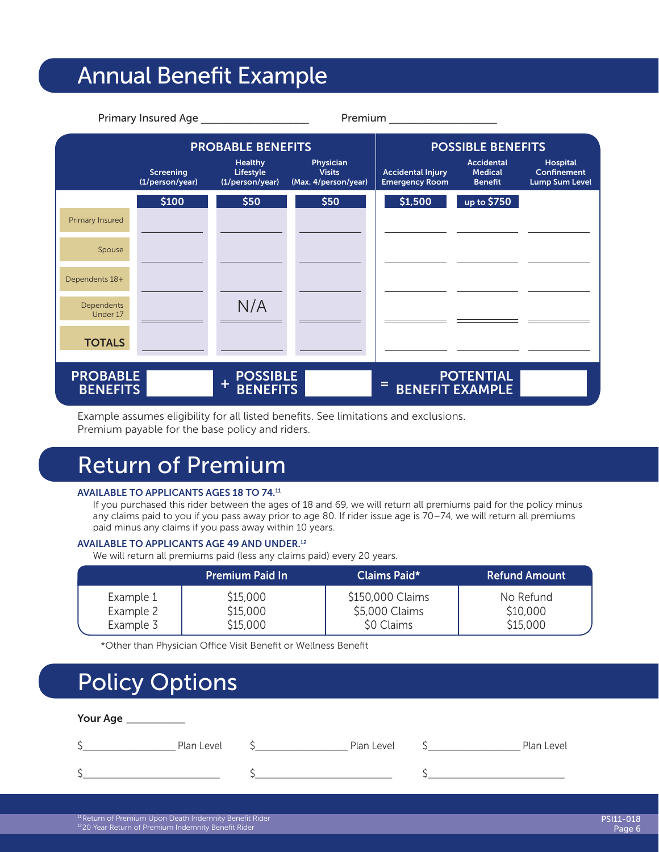### Annual Benefit Example

| Primary Insured Age<br>Premium     |                              |                                                 |                                                    |                                                   |                                                       |                                                         |
|------------------------------------|------------------------------|-------------------------------------------------|----------------------------------------------------|---------------------------------------------------|-------------------------------------------------------|---------------------------------------------------------|
|                                    | <b>PROBABLE BENEFITS</b>     |                                                 |                                                    | <b>POSSIBLE BENEFITS</b>                          |                                                       |                                                         |
|                                    | Screening<br>(1/person/year) | <b>Healthy</b><br>Lifestyle<br>(1/person/year)  | Physician<br><b>Visits</b><br>(Max. 4/person/year) | <b>Accidental Injury</b><br><b>Emergency Room</b> | <b>Accidental</b><br><b>Medical</b><br><b>Benefit</b> | Hospital<br><b>Confinement</b><br><b>Lump Sum Level</b> |
|                                    | \$100                        | \$50                                            | \$50                                               | \$1,500                                           | up to \$750                                           |                                                         |
| Primary Insured                    |                              |                                                 |                                                    |                                                   |                                                       |                                                         |
| Spouse                             |                              |                                                 |                                                    |                                                   |                                                       |                                                         |
| Dependents 18+                     |                              |                                                 |                                                    |                                                   |                                                       |                                                         |
| Dependents<br>Under 17             |                              | N/A                                             |                                                    |                                                   |                                                       |                                                         |
| <b>TOTALS</b>                      |                              |                                                 |                                                    |                                                   |                                                       |                                                         |
| <b>PROBABLE</b><br><b>BENEFITS</b> |                              | <b>POSSIBLE</b><br>$\ddot{}$<br><b>BENEFITS</b> |                                                    | Ξ                                                 | <b>POTENTIAL</b><br><b>BENEFIT EXAMPLE</b>            |                                                         |

Example assumes eligibility for all listed benefits. See limitations and exclusions. Premium payable for the base policy and riders.

## Return of Premium

### AVAILABLE TO APPLICANTS AGES 18 TO 74.11

If you purchased this rider between the ages of 18 and 69, we will return all premiums paid for the policy minus any claims paid to you if you pass away prior to age 80. If rider issue age is 70–74, we will return all premiums paid minus any claims if you pass away within 10 years.

#### AVAILABLE TO APPLICANTS AGE 49 AND UNDER.12

We will return all premiums paid (less any claims paid) every 20 years.

|           | <b>Premium Paid In</b> | <b>Claims Paid*</b> | <b>Refund Amount</b> |
|-----------|------------------------|---------------------|----------------------|
| Example 1 | \$15,000               | \$150,000 Claims    | No Refund            |
| Example 2 | \$15,000               | \$5,000 Claims      | \$10,000             |
| Example 3 | \$15,000               | \$0 Claims          | \$15,000             |

\*Other than Physician Office Visit Benefit or Wellness Benefit

### Policy Options

| Your Age _ |            |            |            |
|------------|------------|------------|------------|
|            | Plan Level | Plan Level | Plan Level |
|            |            |            |            |